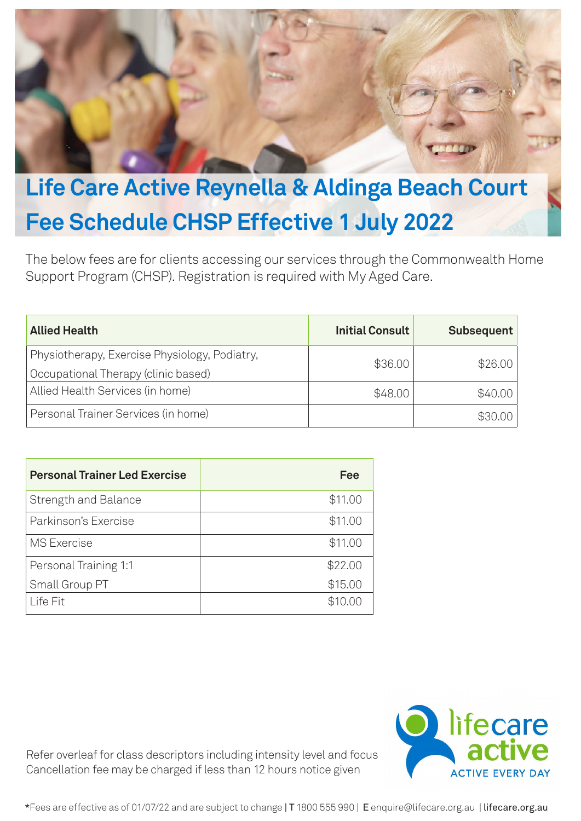

## **Life Care Active Reynella & Aldinga Beach Court Fee Schedule CHSP Effective 1 July 2022**

The below fees are for clients accessing our services through the Commonwealth Home Support Program (CHSP). Registration is required with My Aged Care.

| <b>Allied Health</b>                          | <b>Initial Consult</b> | <b>Subsequent</b> |
|-----------------------------------------------|------------------------|-------------------|
| Physiotherapy, Exercise Physiology, Podiatry, | \$36.00                | \$26.00           |
| Occupational Therapy (clinic based)           |                        |                   |
| Allied Health Services (in home)              | \$48.00                | \$40.00           |
| Personal Trainer Services (in home)           |                        | \$30.00           |

| <b>Personal Trainer Led Exercise</b> | Fee     |
|--------------------------------------|---------|
| <b>Strength and Balance</b>          | \$11.00 |
| Parkinson's Exercise                 | \$11.00 |
| <b>MS</b> Exercise                   | \$11.00 |
| Personal Training 1:1                | \$22.00 |
| Small Group PT                       | \$15.00 |
| Life Fit                             | \$10.00 |

Refer overleaf for class descriptors including intensity level and focus Cancellation fee may be charged if less than 12 hours notice given



\*Fees are effective as of 01/07/22 and are subject to change | T 1800 555 990 | E enquire@lifecare.org.au | lifecare.org.au